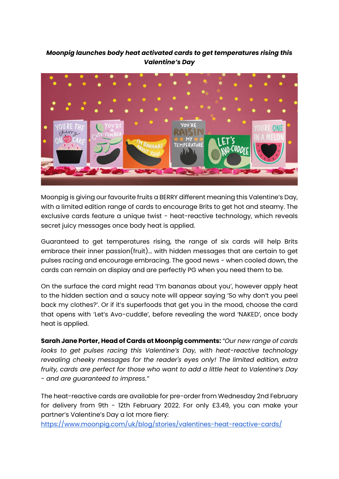## *Moonpig launches body heat activated cards to get temperatures rising this Valentine's Day*



Moonpig is giving our favourite fruits a BERRY different meaning this Valentine's Day, with a limited edition range of cards to encourage Brits to get hot and steamy. The exclusive cards feature a unique twist - heat-reactive technology, which reveals secret juicy messages once body heat is applied.

Guaranteed to get temperatures rising, the range of six cards will help Brits embrace their inner passion(fruit)... with hidden messages that are certain to get pulses racing and encourage embracing. The good news - when cooled down, the cards can remain on display and are perfectly PG when you need them to be.

On the surface the card might read 'I'm bananas about you', however apply heat to the hidden section and a saucy note will appear saying 'So why don't you peel back my clothes?'. Or if it's superfoods that get you in the mood, choose the card that opens with 'Let's Avo-cuddle', before revealing the word 'NAKED', once body heat is applied.

**Sarah Jane Porter, Head of Cards at Moonpig comments:** *"Our new range of cards looks to get pulses racing this Valentine's Day, with heat-reactive technology revealing cheeky messages for the reader's eyes only! The limited edition, extra fruity, cards are perfect for those who want to add a little heat to Valentine's Day - and are guaranteed to impress."*

The heat-reactive cards are available for pre-order from Wednesday 2nd February for delivery from 9th - 12th February 2022. For only £3.49, you can make your partner's Valentine's Day a lot more fiery:

<https://www.moonpig.com/uk/blog/stories/valentines-heat-reactive-cards/>